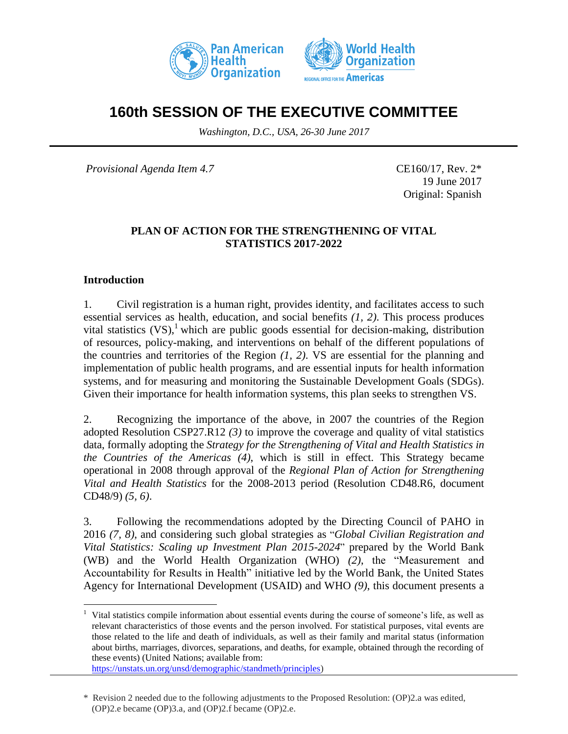



# **160th SESSION OF THE EXECUTIVE COMMITTEE**

*Washington, D.C., USA, 26-30 June 2017*

*Provisional Agenda Item 4.7* CE160/17, Rev. 2<sup>\*</sup>

19 June 2017 Original: Spanish

#### **PLAN OF ACTION FOR THE STRENGTHENING OF VITAL STATISTICS 2017-2022**

# **Introduction**

 $\overline{a}$ 

1. Civil registration is a human right, provides identity, and facilitates access to such essential services as health, education, and social benefits *(1, 2)*. This process produces vital statistics  $(VS)$ ,<sup>1</sup> which are public goods essential for decision-making, distribution of resources, policy-making, and interventions on behalf of the different populations of the countries and territories of the Region *(1, 2)*. VS are essential for the planning and implementation of public health programs, and are essential inputs for health information systems, and for measuring and monitoring the Sustainable Development Goals (SDGs). Given their importance for health information systems, this plan seeks to strengthen VS.

2. Recognizing the importance of the above, in 2007 the countries of the Region adopted Resolution CSP27.R12 *(3)* to improve the coverage and quality of vital statistics data, formally adopting the *Strategy for the Strengthening of Vital and Health Statistics in the Countries of the Americas (4)*, which is still in effect. This Strategy became operational in 2008 through approval of the *Regional Plan of Action for Strengthening Vital and Health Statistics* for the 2008-2013 period (Resolution CD48.R6, document CD48/9) *(5, 6)*.

3. Following the recommendations adopted by the Directing Council of PAHO in 2016 *(7, 8)*, and considering such global strategies as "*Global Civilian Registration and Vital Statistics: Scaling up Investment Plan 2015-2024*" prepared by the World Bank (WB) and the World Health Organization (WHO) *(2)*, the "Measurement and Accountability for Results in Health" initiative led by the World Bank, the United States Agency for International Development (USAID) and WHO *(9)*, this document presents a

<sup>1</sup> Vital statistics compile information about essential events during the course of someone's life, as well as relevant characteristics of those events and the person involved. For statistical purposes, vital events are those related to the life and death of individuals, as well as their family and marital status (information about births, marriages, divorces, separations, and deaths, for example, obtained through the recording of these events) (United Nations; available from:

[https://unstats.un.org/unsd/demographic/standmeth/principles\)](https://unstats.un.org/unsd/demographic/standmeth/principles)

<sup>\*</sup> Revision 2 needed due to the following adjustments to the Proposed Resolution: (OP)2.a was edited, (OP)2.e became (OP)3.a, and (OP)2.f became (OP)2.e.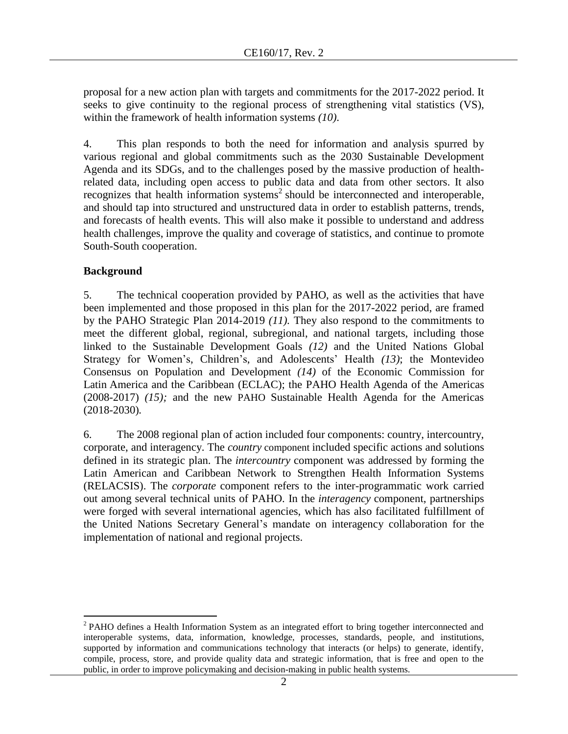proposal for a new action plan with targets and commitments for the 2017-2022 period. It seeks to give continuity to the regional process of strengthening vital statistics (VS), within the framework of health information systems *(10)*.

4. This plan responds to both the need for information and analysis spurred by various regional and global commitments such as the 2030 Sustainable Development Agenda and its SDGs, and to the challenges posed by the massive production of healthrelated data, including open access to public data and data from other sectors. It also recognizes that health information systems<sup>2</sup> should be interconnected and interoperable, and should tap into structured and unstructured data in order to establish patterns, trends, and forecasts of health events. This will also make it possible to understand and address health challenges, improve the quality and coverage of statistics, and continue to promote South-South cooperation.

# **Background**

5. The technical cooperation provided by PAHO, as well as the activities that have been implemented and those proposed in this plan for the 2017-2022 period, are framed by the PAHO Strategic Plan 2014-2019 *(11).* They also respond to the commitments to meet the different global, regional, subregional, and national targets, including those linked to the Sustainable Development Goals *(12)* and the United Nations Global Strategy for Women's, Children's, and Adolescents' Health *(13)*; the Montevideo Consensus on Population and Development *(14)* of the Economic Commission for Latin America and the Caribbean (ECLAC); the PAHO Health Agenda of the Americas (2008-2017) *(15);* and the new PAHO Sustainable Health Agenda for the Americas (2018-2030)*.* 

6. The 2008 regional plan of action included four components: country, intercountry, corporate, and interagency. The *country* component included specific actions and solutions defined in its strategic plan. The *intercountry* component was addressed by forming the Latin American and Caribbean Network to Strengthen Health Information Systems (RELACSIS). The *corporate* component refers to the inter-programmatic work carried out among several technical units of PAHO. In the *interagency* component, partnerships were forged with several international agencies, which has also facilitated fulfillment of the United Nations Secretary General's mandate on interagency collaboration for the implementation of national and regional projects.

 $\overline{a}$ <sup>2</sup> PAHO defines a Health Information System as an integrated effort to bring together interconnected and interoperable systems, data, information, knowledge, processes, standards, people, and institutions, supported by information and communications technology that interacts (or helps) to generate, identify, compile, process, store, and provide quality data and strategic information, that is free and open to the public, in order to improve policymaking and decision-making in public health systems.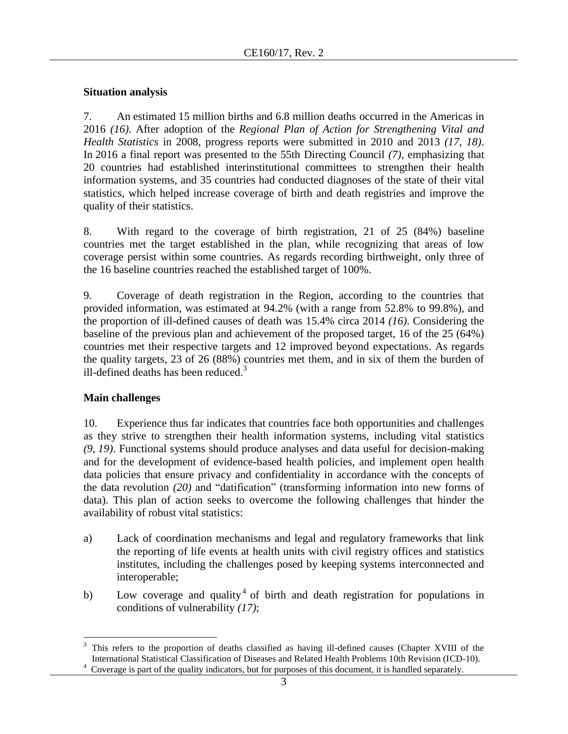# **Situation analysis**

7. An estimated 15 million births and 6.8 million deaths occurred in the Americas in 2016 *(16)*. After adoption of the *Regional Plan of Action for Strengthening Vital and Health Statistics* in 2008, progress reports were submitted in 2010 and 2013 *(17, 18)*. In 2016 a final report was presented to the 55th Directing Council *(7)*, emphasizing that 20 countries had established interinstitutional committees to strengthen their health information systems, and 35 countries had conducted diagnoses of the state of their vital statistics, which helped increase coverage of birth and death registries and improve the quality of their statistics.

8. With regard to the coverage of birth registration, 21 of 25 (84%) baseline countries met the target established in the plan, while recognizing that areas of low coverage persist within some countries. As regards recording birthweight, only three of the 16 baseline countries reached the established target of 100%.

9. Coverage of death registration in the Region, according to the countries that provided information, was estimated at 94.2% (with a range from 52.8% to 99.8%), and the proportion of ill-defined causes of death was 15.4% circa 2014 *(16)*. Considering the baseline of the previous plan and achievement of the proposed target, 16 of the 25 (64%) countries met their respective targets and 12 improved beyond expectations. As regards the quality targets, 23 of 26 (88%) countries met them, and in six of them the burden of ill-defined deaths has been reduced. 3

# **Main challenges**

 $\overline{a}$ 

10. Experience thus far indicates that countries face both opportunities and challenges as they strive to strengthen their health information systems, including vital statistics *(9, 19)*. Functional systems should produce analyses and data useful for decision-making and for the development of evidence-based health policies, and implement open health data policies that ensure privacy and confidentiality in accordance with the concepts of the data revolution *(20)* and "datification" (transforming information into new forms of data). This plan of action seeks to overcome the following challenges that hinder the availability of robust vital statistics:

- a) Lack of coordination mechanisms and legal and regulatory frameworks that link the reporting of life events at health units with civil registry offices and statistics institutes, including the challenges posed by keeping systems interconnected and interoperable;
- b) Low coverage and quality<sup>4</sup> of birth and death registration for populations in conditions of vulnerability *(17)*;

<sup>3</sup> This refers to the proportion of deaths classified as having ill-defined causes (Chapter XVIII of the International Statistical Classification of Diseases and Related Health Problems 10th Revision (ICD-10).

<sup>&</sup>lt;sup>4</sup> Coverage is part of the quality indicators, but for purposes of this document, it is handled separately.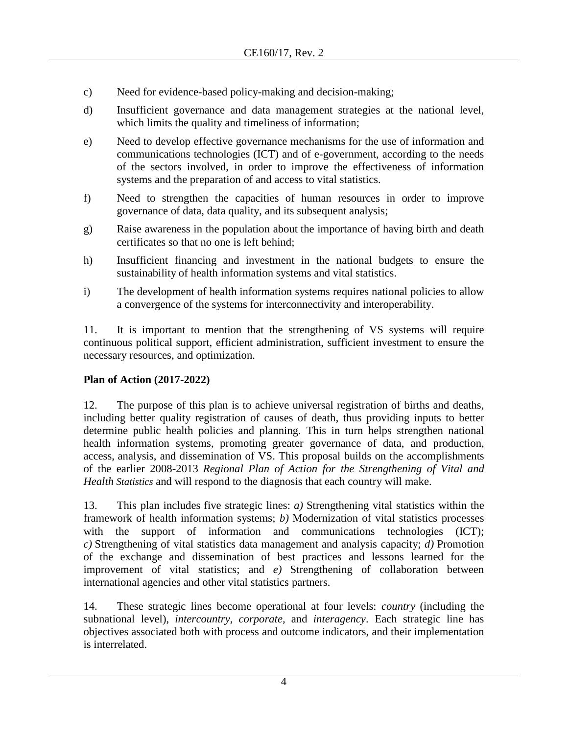- c) Need for evidence-based policy-making and decision-making;
- d) Insufficient governance and data management strategies at the national level, which limits the quality and timeliness of information;
- e) Need to develop effective governance mechanisms for the use of information and communications technologies (ICT) and of e-government, according to the needs of the sectors involved, in order to improve the effectiveness of information systems and the preparation of and access to vital statistics.
- f) Need to strengthen the capacities of human resources in order to improve governance of data, data quality, and its subsequent analysis;
- g) Raise awareness in the population about the importance of having birth and death certificates so that no one is left behind;
- h) Insufficient financing and investment in the national budgets to ensure the sustainability of health information systems and vital statistics.
- i) The development of health information systems requires national policies to allow a convergence of the systems for interconnectivity and interoperability.

11. It is important to mention that the strengthening of VS systems will require continuous political support, efficient administration, sufficient investment to ensure the necessary resources, and optimization.

# **Plan of Action (2017-2022)**

12. The purpose of this plan is to achieve universal registration of births and deaths, including better quality registration of causes of death, thus providing inputs to better determine public health policies and planning. This in turn helps strengthen national health information systems, promoting greater governance of data, and production, access, analysis, and dissemination of VS. This proposal builds on the accomplishments of the earlier 2008-2013 *Regional Plan of Action for the Strengthening of Vital and Health Statistics* and will respond to the diagnosis that each country will make.

13. This plan includes five strategic lines: *a)* Strengthening vital statistics within the framework of health information systems; *b)* Modernization of vital statistics processes with the support of information and communications technologies (ICT); *c)* Strengthening of vital statistics data management and analysis capacity; *d)* Promotion of the exchange and dissemination of best practices and lessons learned for the improvement of vital statistics; and *e)* Strengthening of collaboration between international agencies and other vital statistics partners.

14. These strategic lines become operational at four levels: *country* (including the subnational level), *intercountry*, *corporate,* and *interagency*. Each strategic line has objectives associated both with process and outcome indicators, and their implementation is interrelated.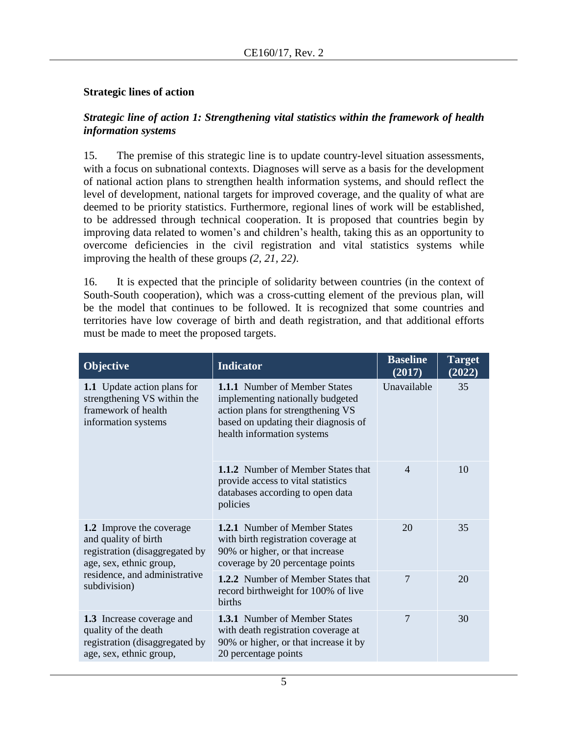#### **Strategic lines of action**

subdivision)

#### *Strategic line of action 1: Strengthening vital statistics within the framework of health information systems*

15. The premise of this strategic line is to update country-level situation assessments, with a focus on subnational contexts. Diagnoses will serve as a basis for the development of national action plans to strengthen health information systems, and should reflect the level of development, national targets for improved coverage, and the quality of what are deemed to be priority statistics. Furthermore, regional lines of work will be established, to be addressed through technical cooperation. It is proposed that countries begin by improving data related to women's and children's health, taking this as an opportunity to overcome deficiencies in the civil registration and vital statistics systems while improving the health of these groups *(2, 21, 22)*.

16. It is expected that the principle of solidarity between countries (in the context of South-South cooperation), which was a cross-cutting element of the previous plan, will be the model that continues to be followed. It is recognized that some countries and territories have low coverage of birth and death registration, and that additional efforts must be made to meet the proposed targets.

| <b>Objective</b>                                                                                                                                                      | <b>Indicator</b>                                                                                                                                                                    | <b>Baseline</b><br>(2017) | <b>Target</b><br>(2022) |
|-----------------------------------------------------------------------------------------------------------------------------------------------------------------------|-------------------------------------------------------------------------------------------------------------------------------------------------------------------------------------|---------------------------|-------------------------|
| 1.1 Update action plans for<br>strengthening VS within the<br>framework of health<br>information systems                                                              | <b>1.1.1</b> Number of Member States<br>implementing nationally budgeted<br>action plans for strengthening VS<br>based on updating their diagnosis of<br>health information systems | Unavailable               | 35                      |
|                                                                                                                                                                       | <b>1.1.2</b> Number of Member States that<br>provide access to vital statistics<br>databases according to open data<br>policies                                                     | $\overline{4}$            | 10                      |
| <b>1.2</b> Improve the coverage<br>and quality of birth<br>registration (disaggregated by<br>age, sex, ethnic group,<br>residence, and administrative<br>subdivision) | <b>1.2.1</b> Number of Member States<br>with birth registration coverage at<br>90% or higher, or that increase<br>coverage by 20 percentage points                                  | 20                        | 35                      |
|                                                                                                                                                                       | 1.2.2 Number of Member States that<br>record birthweight for 100% of live<br>births                                                                                                 | 7                         | 20                      |
| 1.3 Increase coverage and<br>quality of the death<br>registration (disaggregated by<br>age, sex, ethnic group,                                                        | <b>1.3.1</b> Number of Member States<br>with death registration coverage at<br>90% or higher, or that increase it by<br>20 percentage points                                        | 7                         | 30                      |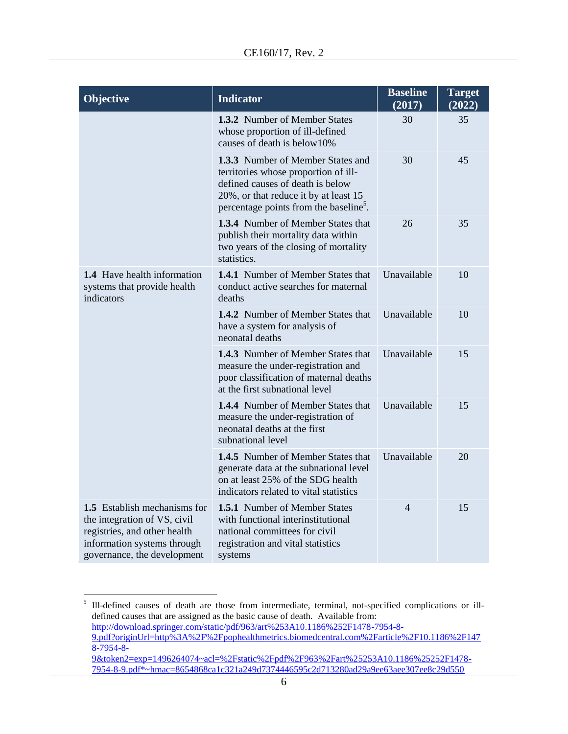| Objective                                                                                                                                                  | <b>Indicator</b>                                                                                                                                                                                             | <b>Baseline</b><br>(2017) | <b>Target</b><br>(2022) |
|------------------------------------------------------------------------------------------------------------------------------------------------------------|--------------------------------------------------------------------------------------------------------------------------------------------------------------------------------------------------------------|---------------------------|-------------------------|
|                                                                                                                                                            | <b>1.3.2</b> Number of Member States<br>whose proportion of ill-defined<br>causes of death is below10%                                                                                                       | 30                        | 35                      |
|                                                                                                                                                            | 1.3.3 Number of Member States and<br>territories whose proportion of ill-<br>defined causes of death is below<br>20%, or that reduce it by at least 15<br>percentage points from the baseline <sup>5</sup> . | 30                        | 45                      |
|                                                                                                                                                            | <b>1.3.4</b> Number of Member States that<br>publish their mortality data within<br>two years of the closing of mortality<br>statistics.                                                                     | 26                        | 35                      |
| <b>1.4</b> Have health information<br>systems that provide health<br>indicators                                                                            | <b>1.4.1</b> Number of Member States that<br>conduct active searches for maternal<br>deaths                                                                                                                  | Unavailable               | 10                      |
|                                                                                                                                                            | 1.4.2 Number of Member States that<br>have a system for analysis of<br>neonatal deaths                                                                                                                       | Unavailable               | 10                      |
|                                                                                                                                                            | 1.4.3 Number of Member States that<br>measure the under-registration and<br>poor classification of maternal deaths<br>at the first subnational level                                                         | Unavailable               | 15                      |
|                                                                                                                                                            | 1.4.4 Number of Member States that<br>measure the under-registration of<br>neonatal deaths at the first<br>subnational level                                                                                 | Unavailable               | 15                      |
|                                                                                                                                                            | 1.4.5 Number of Member States that<br>generate data at the subnational level<br>on at least 25% of the SDG health<br>indicators related to vital statistics                                                  | Unavailable               | 20                      |
| 1.5 Establish mechanisms for<br>the integration of VS, civil<br>registries, and other health<br>information systems through<br>governance, the development | <b>1.5.1</b> Number of Member States<br>with functional interinstitutional<br>national committees for civil<br>registration and vital statistics<br>systems                                                  | 4                         | 15                      |

5 Ill-defined causes of death are those from intermediate, terminal, not-specified complications or illdefined causes that are assigned as the basic cause of death. Available from: [http://download.springer.com/static/pdf/963/art%253A10.1186%252F1478-7954-8-](http://download.springer.com/static/pdf/963/art%253A10.1186%252F1478-7954-8-9.pdf?originUrl=http%3A%2F%2Fpophealthmetrics.biomedcentral.com%2Farticle%2F10.1186%2F1478-7954-8-9&token2=exp=1496264074~acl=%2Fstatic%2Fpdf%2F963%2Fart%25253A10.1186%25252F1478-7954-8-9.pdf*~hmac=8654868ca1c321a249d7374446595c2d713280ad29a9ee63aee307ee8c29d550) [9.pdf?originUrl=http%3A%2F%2Fpophealthmetrics.biomedcentral.com%2Farticle%2F10.1186%2F147](http://download.springer.com/static/pdf/963/art%253A10.1186%252F1478-7954-8-9.pdf?originUrl=http%3A%2F%2Fpophealthmetrics.biomedcentral.com%2Farticle%2F10.1186%2F1478-7954-8-9&token2=exp=1496264074~acl=%2Fstatic%2Fpdf%2F963%2Fart%25253A10.1186%25252F1478-7954-8-9.pdf*~hmac=8654868ca1c321a249d7374446595c2d713280ad29a9ee63aee307ee8c29d550) [8-7954-8-](http://download.springer.com/static/pdf/963/art%253A10.1186%252F1478-7954-8-9.pdf?originUrl=http%3A%2F%2Fpophealthmetrics.biomedcentral.com%2Farticle%2F10.1186%2F1478-7954-8-9&token2=exp=1496264074~acl=%2Fstatic%2Fpdf%2F963%2Fart%25253A10.1186%25252F1478-7954-8-9.pdf*~hmac=8654868ca1c321a249d7374446595c2d713280ad29a9ee63aee307ee8c29d550) [9&token2=exp=1496264074~acl=%2Fstatic%2Fpdf%2F963%2Fart%25253A10.1186%25252F1478-](http://download.springer.com/static/pdf/963/art%253A10.1186%252F1478-7954-8-9.pdf?originUrl=http%3A%2F%2Fpophealthmetrics.biomedcentral.com%2Farticle%2F10.1186%2F1478-7954-8-9&token2=exp=1496264074~acl=%2Fstatic%2Fpdf%2F963%2Fart%25253A10.1186%25252F1478-7954-8-9.pdf*~hmac=8654868ca1c321a249d7374446595c2d713280ad29a9ee63aee307ee8c29d550) [7954-8-9.pdf\\*~hmac=8654868ca1c321a249d7374446595c2d713280ad29a9ee63aee307ee8c29d550](http://download.springer.com/static/pdf/963/art%253A10.1186%252F1478-7954-8-9.pdf?originUrl=http%3A%2F%2Fpophealthmetrics.biomedcentral.com%2Farticle%2F10.1186%2F1478-7954-8-9&token2=exp=1496264074~acl=%2Fstatic%2Fpdf%2F963%2Fart%25253A10.1186%25252F1478-7954-8-9.pdf*~hmac=8654868ca1c321a249d7374446595c2d713280ad29a9ee63aee307ee8c29d550)

 $\overline{a}$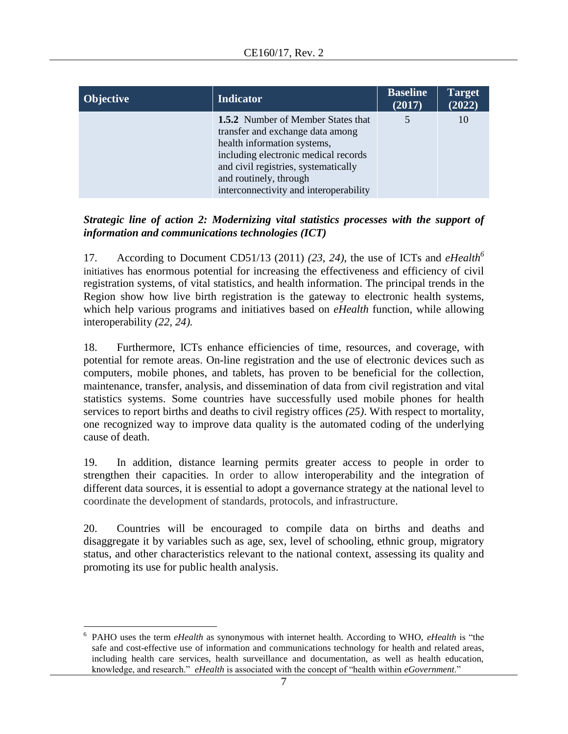| <b>Objective</b> | <b>Indicator</b>                                                                                                                                                                                                                                          | <b>Baseline</b><br>(2017) | Target<br>(2022) |
|------------------|-----------------------------------------------------------------------------------------------------------------------------------------------------------------------------------------------------------------------------------------------------------|---------------------------|------------------|
|                  | 1.5.2 Number of Member States that<br>transfer and exchange data among<br>health information systems,<br>including electronic medical records<br>and civil registries, systematically<br>and routinely, through<br>interconnectivity and interoperability | 5                         | 10               |

# *Strategic line of action 2: Modernizing vital statistics processes with the support of information and communications technologies (ICT)*

17. According to Document CD51/13 (2011) *(23, 24)*, the use of ICTs and *eHealth<sup>6</sup>* initiatives has enormous potential for increasing the effectiveness and efficiency of civil registration systems, of vital statistics, and health information. The principal trends in the Region show how live birth registration is the gateway to electronic health systems, which help various programs and initiatives based on *eHealth* function, while allowing interoperability *(22, 24).*

18. Furthermore, ICTs enhance efficiencies of time, resources, and coverage, with potential for remote areas. On-line registration and the use of electronic devices such as computers, mobile phones, and tablets, has proven to be beneficial for the collection, maintenance, transfer, analysis, and dissemination of data from civil registration and vital statistics systems. Some countries have successfully used mobile phones for health services to report births and deaths to civil registry offices *(25)*. With respect to mortality, one recognized way to improve data quality is the automated coding of the underlying cause of death.

19. In addition, distance learning permits greater access to people in order to strengthen their capacities. In order to allow interoperability and the integration of different data sources, it is essential to adopt a governance strategy at the national level to coordinate the development of standards, protocols, and infrastructure.

20. Countries will be encouraged to compile data on births and deaths and disaggregate it by variables such as age, sex, level of schooling, ethnic group, migratory status, and other characteristics relevant to the national context, assessing its quality and promoting its use for public health analysis.

 $\overline{a}$ 6 PAHO uses the term *eHealth* as synonymous with internet health. According to WHO, *eHealth* is "the safe and cost-effective use of information and communications technology for health and related areas, including health care services, health surveillance and documentation, as well as health education, knowledge, and research." *eHealth* is associated with the concept of "health within *eGovernment*."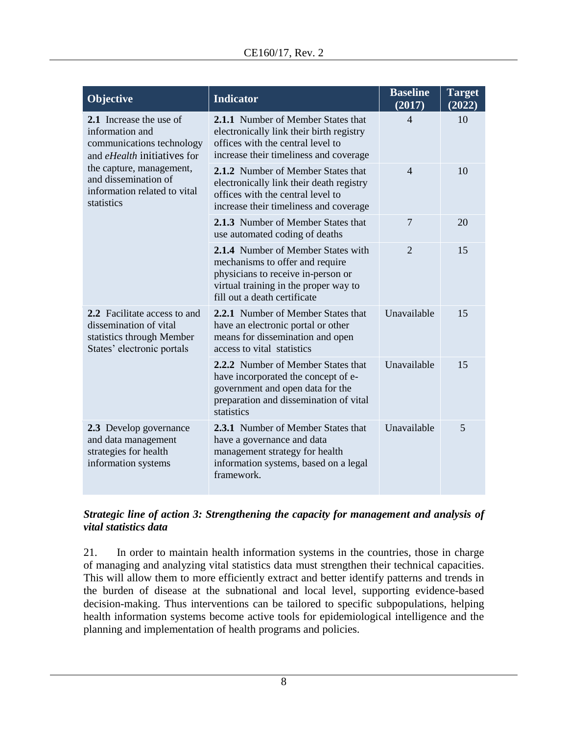| <b>Objective</b>                                                                                                                                                                                                | <b>Indicator</b>                                                                                                                                                                     | <b>Baseline</b><br>(2017) | <b>Target</b><br>(2022) |
|-----------------------------------------------------------------------------------------------------------------------------------------------------------------------------------------------------------------|--------------------------------------------------------------------------------------------------------------------------------------------------------------------------------------|---------------------------|-------------------------|
| 2.1 Increase the use of<br>information and<br>communications technology<br>and <i>eHealth</i> initiatives for<br>the capture, management,<br>and dissemination of<br>information related to vital<br>statistics | <b>2.1.1</b> Number of Member States that<br>electronically link their birth registry<br>offices with the central level to<br>increase their timeliness and coverage                 | $\overline{\mathcal{L}}$  | 10                      |
|                                                                                                                                                                                                                 | 2.1.2 Number of Member States that<br>electronically link their death registry<br>offices with the central level to<br>increase their timeliness and coverage                        | $\overline{\mathcal{L}}$  | 10                      |
|                                                                                                                                                                                                                 | <b>2.1.3</b> Number of Member States that<br>use automated coding of deaths                                                                                                          | 7                         | 20                      |
|                                                                                                                                                                                                                 | 2.1.4 Number of Member States with<br>mechanisms to offer and require<br>physicians to receive in-person or<br>virtual training in the proper way to<br>fill out a death certificate | $\overline{2}$            | 15                      |
| 2.2 Facilitate access to and<br>dissemination of vital<br>statistics through Member<br>States' electronic portals                                                                                               | 2.2.1 Number of Member States that<br>have an electronic portal or other<br>means for dissemination and open<br>access to vital statistics                                           | Unavailable               | 15                      |
|                                                                                                                                                                                                                 | 2.2.2 Number of Member States that<br>have incorporated the concept of e-<br>government and open data for the<br>preparation and dissemination of vital<br>statistics                | Unavailable               | 15                      |
| 2.3 Develop governance<br>and data management<br>strategies for health<br>information systems                                                                                                                   | 2.3.1 Number of Member States that<br>have a governance and data<br>management strategy for health<br>information systems, based on a legal<br>framework.                            | Unavailable               | 5                       |

# *Strategic line of action 3: Strengthening the capacity for management and analysis of vital statistics data*

21. In order to maintain health information systems in the countries, those in charge of managing and analyzing vital statistics data must strengthen their technical capacities. This will allow them to more efficiently extract and better identify patterns and trends in the burden of disease at the subnational and local level, supporting evidence-based decision-making. Thus interventions can be tailored to specific subpopulations, helping health information systems become active tools for epidemiological intelligence and the planning and implementation of health programs and policies.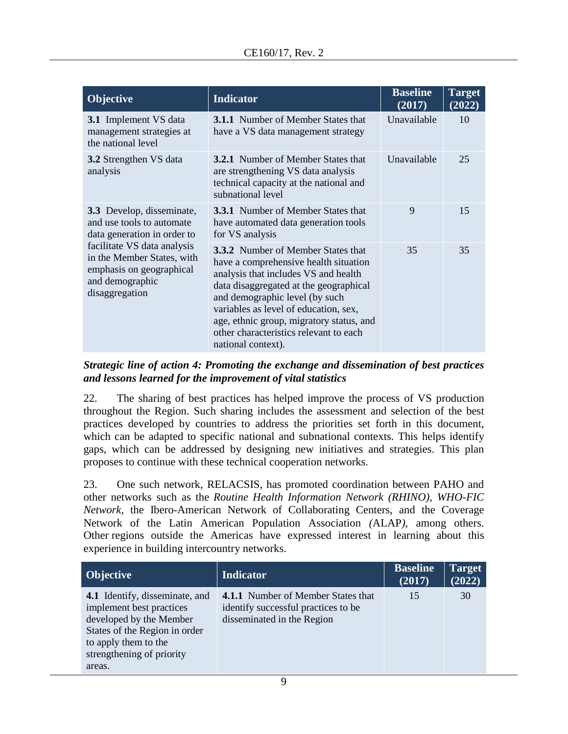| <b>Objective</b>                                                                                                                                                                                                    | <b>Indicator</b>                                                                                                                                                                                                                                                                                                                                            | <b>Baseline</b><br>(2017) | <b>Target</b><br>(2022) |
|---------------------------------------------------------------------------------------------------------------------------------------------------------------------------------------------------------------------|-------------------------------------------------------------------------------------------------------------------------------------------------------------------------------------------------------------------------------------------------------------------------------------------------------------------------------------------------------------|---------------------------|-------------------------|
| 3.1 Implement VS data<br>management strategies at<br>the national level                                                                                                                                             | <b>3.1.1</b> Number of Member States that<br>have a VS data management strategy                                                                                                                                                                                                                                                                             | Unavailable               | 10                      |
| <b>3.2</b> Strengthen VS data<br>analysis                                                                                                                                                                           | <b>3.2.1</b> Number of Member States that<br>are strengthening VS data analysis<br>technical capacity at the national and<br>subnational level                                                                                                                                                                                                              | Unavailable               | 25                      |
| 3.3 Develop, disseminate,<br>and use tools to automate<br>data generation in order to<br>facilitate VS data analysis<br>in the Member States, with<br>emphasis on geographical<br>and demographic<br>disaggregation | <b>3.3.1</b> Number of Member States that<br>have automated data generation tools<br>for VS analysis                                                                                                                                                                                                                                                        | 9                         | 15                      |
|                                                                                                                                                                                                                     | <b>3.3.2</b> Number of Member States that<br>have a comprehensive health situation<br>analysis that includes VS and health<br>data disaggregated at the geographical<br>and demographic level (by such<br>variables as level of education, sex,<br>age, ethnic group, migratory status, and<br>other characteristics relevant to each<br>national context). | 35                        | 35                      |

#### *Strategic line of action 4: Promoting the exchange and dissemination of best practices and lessons learned for the improvement of vital statistics*

22. The sharing of best practices has helped improve the process of VS production throughout the Region. Such sharing includes the assessment and selection of the best practices developed by countries to address the priorities set forth in this document, which can be adapted to specific national and subnational contexts. This helps identify gaps, which can be addressed by designing new initiatives and strategies. This plan proposes to continue with these technical cooperation networks.

23. One such network, RELACSIS, has promoted coordination between PAHO and other networks such as the *Routine Health Information Network (RHINO), WHO-FIC Network*, the Ibero-American Network of Collaborating Centers, and the Coverage Network of the Latin American Population Association *(*ALAP*)*, among others. Other regions outside the Americas have expressed interest in learning about this experience in building intercountry networks.

| Objective                                                         | <b>Indicator</b>                                                          | <b>Baseline</b><br>(2017) | <b>Target</b><br>(2022) |
|-------------------------------------------------------------------|---------------------------------------------------------------------------|---------------------------|-------------------------|
| <b>4.1</b> Identify, disseminate, and<br>implement best practices | 4.1.1 Number of Member States that<br>identify successful practices to be | 15                        | 30                      |
| developed by the Member<br>States of the Region in order          | disseminated in the Region                                                |                           |                         |
| to apply them to the<br>strengthening of priority<br>areas.       |                                                                           |                           |                         |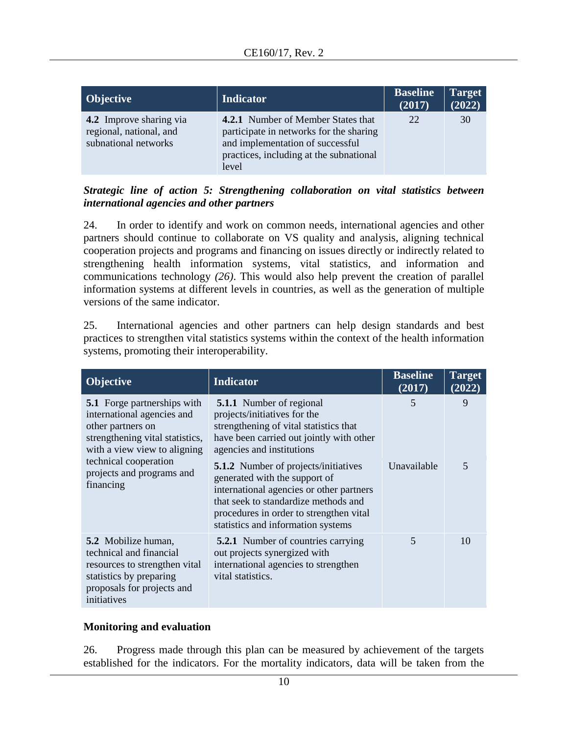| <b>Objective</b>                                                                  | <b>Indicator</b>                                                                                                                                                             | <b>Baseline</b><br>(2017) | <b>Target</b><br>(2022) |
|-----------------------------------------------------------------------------------|------------------------------------------------------------------------------------------------------------------------------------------------------------------------------|---------------------------|-------------------------|
| <b>4.2</b> Improve sharing via<br>regional, national, and<br>subnational networks | <b>4.2.1</b> Number of Member States that<br>participate in networks for the sharing<br>and implementation of successful<br>practices, including at the subnational<br>level | 22                        | 30                      |

*Strategic line of action 5: Strengthening collaboration on vital statistics between international agencies and other partners*

24. In order to identify and work on common needs, international agencies and other partners should continue to collaborate on VS quality and analysis, aligning technical cooperation projects and programs and financing on issues directly or indirectly related to strengthening health information systems, vital statistics, and information and communications technology *(26)*. This would also help prevent the creation of parallel information systems at different levels in countries, as well as the generation of multiple versions of the same indicator.

25. International agencies and other partners can help design standards and best practices to strengthen vital statistics systems within the context of the health information systems, promoting their interoperability.

| <b>Objective</b>                                                                                                                                                                                                            | <b>Indicator</b>                                                                                                                                                                                                                                  | <b>Baseline</b><br>(2017) | <b>Target</b><br>(2022) |
|-----------------------------------------------------------------------------------------------------------------------------------------------------------------------------------------------------------------------------|---------------------------------------------------------------------------------------------------------------------------------------------------------------------------------------------------------------------------------------------------|---------------------------|-------------------------|
| <b>5.1</b> Forge partnerships with<br>international agencies and<br>other partners on<br>strengthening vital statistics,<br>with a view view to aligning<br>technical cooperation<br>projects and programs and<br>financing | <b>5.1.1</b> Number of regional<br>projects/initiatives for the<br>strengthening of vital statistics that<br>have been carried out jointly with other<br>agencies and institutions                                                                | 5                         | 9                       |
|                                                                                                                                                                                                                             | <b>5.1.2</b> Number of projects/initiatives<br>generated with the support of<br>international agencies or other partners<br>that seek to standardize methods and<br>procedures in order to strengthen vital<br>statistics and information systems | Unavailable               | 5                       |
| <b>5.2</b> Mobilize human,<br>technical and financial<br>resources to strengthen vital<br>statistics by preparing<br>proposals for projects and<br>initiatives                                                              | <b>5.2.1</b> Number of countries carrying<br>out projects synergized with<br>international agencies to strengthen<br>vital statistics.                                                                                                            | 5                         | 10                      |

# **Monitoring and evaluation**

26. Progress made through this plan can be measured by achievement of the targets established for the indicators. For the mortality indicators, data will be taken from the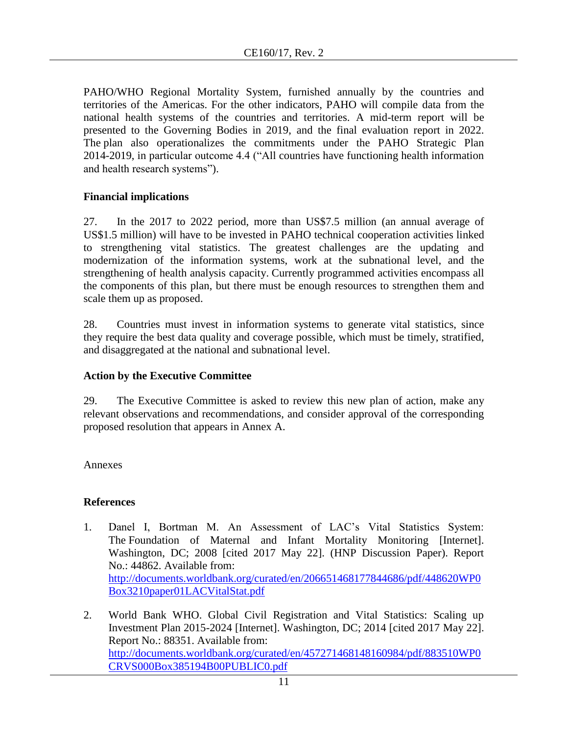PAHO/WHO Regional Mortality System, furnished annually by the countries and territories of the Americas. For the other indicators, PAHO will compile data from the national health systems of the countries and territories. A mid-term report will be presented to the Governing Bodies in 2019, and the final evaluation report in 2022. The plan also operationalizes the commitments under the PAHO Strategic Plan 2014-2019, in particular outcome 4.4 ("All countries have functioning health information and health research systems").

# **Financial implications**

27. In the 2017 to 2022 period, more than US\$7.5 million (an annual average of US\$1.5 million) will have to be invested in PAHO technical cooperation activities linked to strengthening vital statistics. The greatest challenges are the updating and modernization of the information systems, work at the subnational level, and the strengthening of health analysis capacity. Currently programmed activities encompass all the components of this plan, but there must be enough resources to strengthen them and scale them up as proposed.

28. Countries must invest in information systems to generate vital statistics, since they require the best data quality and coverage possible, which must be timely, stratified, and disaggregated at the national and subnational level.

# **Action by the Executive Committee**

29. The Executive Committee is asked to review this new plan of action, make any relevant observations and recommendations, and consider approval of the corresponding proposed resolution that appears in Annex A.

Annexes

# **References**

- 1. Danel I, Bortman M. An Assessment of LAC's Vital Statistics System: The Foundation of Maternal and Infant Mortality Monitoring [Internet]. Washington, DC; 2008 [cited 2017 May 22]. (HNP Discussion Paper). Report No.: 44862. Available from: [http://documents.worldbank.org/curated/en/206651468177844686/pdf/448620WP0](http://documents.worldbank.org/curated/en/206651468177844686/pdf/448620WP0Box3210paper01LACVitalStat.pdf) [Box3210paper01LACVitalStat.pdf](http://documents.worldbank.org/curated/en/206651468177844686/pdf/448620WP0Box3210paper01LACVitalStat.pdf)
- 2. World Bank WHO. Global Civil Registration and Vital Statistics: Scaling up Investment Plan 2015-2024 [Internet]. Washington, DC; 2014 [cited 2017 May 22]. Report No.: 88351. Available from: [http://documents.worldbank.org/curated/en/457271468148160984/pdf/883510WP0](http://documents.worldbank.org/curated/en/457271468148160984/pdf/883510WP0CRVS000Box385194B00PUBLIC0.pdf) [CRVS000Box385194B00PUBLIC0.pdf](http://documents.worldbank.org/curated/en/457271468148160984/pdf/883510WP0CRVS000Box385194B00PUBLIC0.pdf)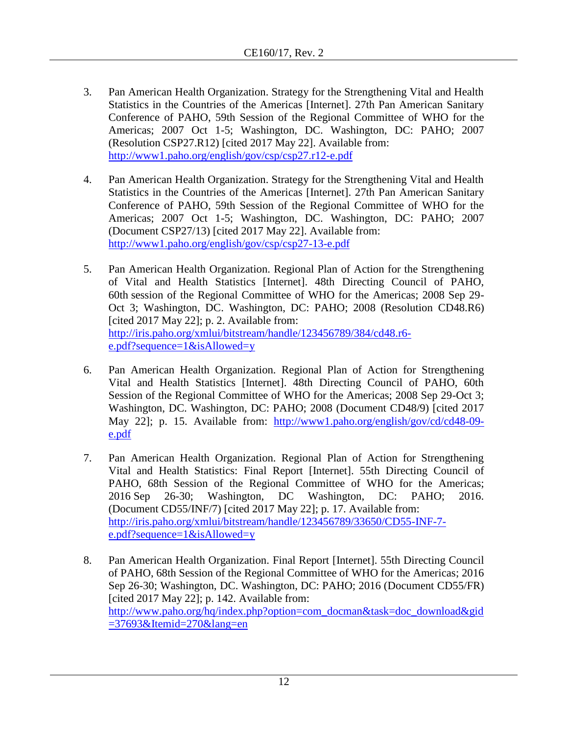- 3. Pan American Health Organization. Strategy for the Strengthening Vital and Health Statistics in the Countries of the Americas [Internet]. 27th Pan American Sanitary Conference of PAHO, 59th Session of the Regional Committee of WHO for the Americas; 2007 Oct 1-5; Washington, DC. Washington, DC: PAHO; 2007 (Resolution CSP27.R12) [cited 2017 May 22]. Available from: <http://www1.paho.org/english/gov/csp/csp27.r12-e.pdf>
- 4. Pan American Health Organization. Strategy for the Strengthening Vital and Health Statistics in the Countries of the Americas [Internet]. 27th Pan American Sanitary Conference of PAHO, 59th Session of the Regional Committee of WHO for the Americas; 2007 Oct 1-5; Washington, DC. Washington, DC: PAHO; 2007 (Document CSP27/13) [cited 2017 May 22]. Available from: <http://www1.paho.org/english/gov/csp/csp27-13-e.pdf>
- 5. Pan American Health Organization. Regional Plan of Action for the Strengthening of Vital and Health Statistics [Internet]. 48th Directing Council of PAHO, 60th session of the Regional Committee of WHO for the Americas; 2008 Sep 29- Oct 3; Washington, DC. Washington, DC: PAHO; 2008 (Resolution CD48.R6) [cited 2017 May 22]; p. 2. Available from: [http://iris.paho.org/xmlui/bitstream/handle/123456789/384/cd48.r6](http://iris.paho.org/xmlui/bitstream/handle/123456789/384/cd48.r6-e.pdf?sequence=1&isAllowed=y) [e.pdf?sequence=1&isAllowed=y](http://iris.paho.org/xmlui/bitstream/handle/123456789/384/cd48.r6-e.pdf?sequence=1&isAllowed=y)
- 6. Pan American Health Organization. Regional Plan of Action for Strengthening Vital and Health Statistics [Internet]. 48th Directing Council of PAHO, 60th Session of the Regional Committee of WHO for the Americas; 2008 Sep 29-Oct 3; Washington, DC. Washington, DC: PAHO; 2008 (Document CD48/9) [cited 2017 May 22]; p. 15. Available from: [http://www1.paho.org/english/gov/cd/cd48-09](http://www1.paho.org/english/gov/cd/cd48-09-e.pdf) [e.pdf](http://www1.paho.org/english/gov/cd/cd48-09-e.pdf)
- 7. Pan American Health Organization. Regional Plan of Action for Strengthening Vital and Health Statistics: Final Report [Internet]. 55th Directing Council of PAHO, 68th Session of the Regional Committee of WHO for the Americas; 2016 Sep 26-30; Washington, DC Washington, DC: PAHO; 2016. (Document CD55/INF/7) [cited 2017 May 22]; p. 17. Available from: [http://iris.paho.org/xmlui/bitstream/handle/123456789/33650/CD55-INF-7](http://iris.paho.org/xmlui/bitstream/handle/123456789/33650/CD55-INF-7-e.pdf?sequence=1&isAllowed=y) [e.pdf?sequence=1&isAllowed=y](http://iris.paho.org/xmlui/bitstream/handle/123456789/33650/CD55-INF-7-e.pdf?sequence=1&isAllowed=y)
- 8. Pan American Health Organization. Final Report [Internet]. 55th Directing Council of PAHO, 68th Session of the Regional Committee of WHO for the Americas; 2016 Sep 26-30; Washington, DC. Washington, DC: PAHO; 2016 (Document CD55/FR) [cited 2017 May 22]; p. 142. Available from: [http://www.paho.org/hq/index.php?option=com\\_docman&task=doc\\_download&gid](http://www.paho.org/hq/index.php?option=com_docman&task=doc_download&gid=37693&Itemid=270&lang=en)  $=37693\&$ Itemid $=270\&$ lang=en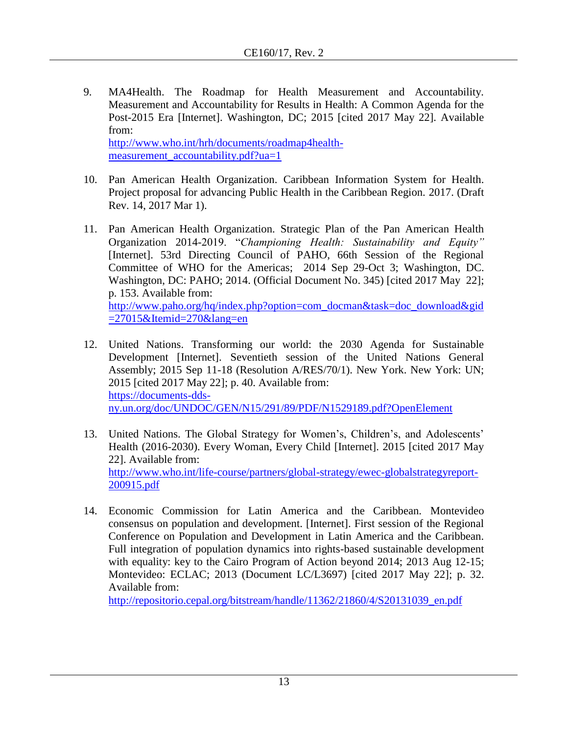- 9. MA4Health. The Roadmap for Health Measurement and Accountability. Measurement and Accountability for Results in Health: A Common Agenda for the Post-2015 Era [Internet]. Washington, DC; 2015 [cited 2017 May 22]. Available from: [http://www.who.int/hrh/documents/roadmap4health](http://www.who.int/hrh/documents/roadmap4health-measurement_accountability.pdf?ua=1)[measurement\\_accountability.pdf?ua=1](http://www.who.int/hrh/documents/roadmap4health-measurement_accountability.pdf?ua=1)
- 10. Pan American Health Organization. Caribbean Information System for Health. Project proposal for advancing Public Health in the Caribbean Region. 2017. (Draft Rev. 14, 2017 Mar 1).
- 11. Pan American Health Organization. Strategic Plan of the Pan American Health Organization 2014-2019. "*Championing Health: Sustainability and Equity"* [Internet]. 53rd Directing Council of PAHO, 66th Session of the Regional Committee of WHO for the Americas; 2014 Sep 29-Oct 3; Washington, DC. Washington, DC: PAHO; 2014. (Official Document No. 345) [cited 2017 May 22]; p. 153. Available from: [http://www.paho.org/hq/index.php?option=com\\_docman&task=doc\\_download&gid](http://www.paho.org/hq/index.php?option=com_docman&task=doc_download&gid=27015&Itemid=270&lang=en) [=27015&Itemid=270&lang=en](http://www.paho.org/hq/index.php?option=com_docman&task=doc_download&gid=27015&Itemid=270&lang=en)
- 12. United Nations. Transforming our world: the 2030 Agenda for Sustainable Development [Internet]. Seventieth session of the United Nations General Assembly; 2015 Sep 11-18 (Resolution A/RES/70/1). New York. New York: UN; 2015 [cited 2017 May 22]; p. 40. Available from: [https://documents-dds](https://documents-dds-ny.un.org/doc/UNDOC/GEN/N15/291/89/PDF/N1529189.pdf?OpenElement)[ny.un.org/doc/UNDOC/GEN/N15/291/89/PDF/N1529189.pdf?OpenElement](https://documents-dds-ny.un.org/doc/UNDOC/GEN/N15/291/89/PDF/N1529189.pdf?OpenElement)
- 13. United Nations. The Global Strategy for Women's, Children's, and Adolescents' Health (2016-2030). Every Woman, Every Child [Internet]. 2015 [cited 2017 May 22]. Available from: [http://www.who.int/life-course/partners/global-strategy/ewec-globalstrategyreport-](http://www.who.int/life-course/partners/global-strategy/ewec-globalstrategyreport-200915.pdf)[200915.pdf](http://www.who.int/life-course/partners/global-strategy/ewec-globalstrategyreport-200915.pdf)
- 14. Economic Commission for Latin America and the Caribbean. Montevideo consensus on population and development. [Internet]. First session of the Regional Conference on Population and Development in Latin America and the Caribbean. Full integration of population dynamics into rights-based sustainable development with equality: key to the Cairo Program of Action beyond 2014; 2013 Aug 12-15; Montevideo: ECLAC; 2013 (Document LC/L3697) [cited 2017 May 22]; p. 32. Available from:

[http://repositorio.cepal.org/bitstream/handle/11362/21860/4/S20131039\\_en.pdf](http://repositorio.cepal.org/bitstream/handle/11362/21860/4/S20131039_en.pdf)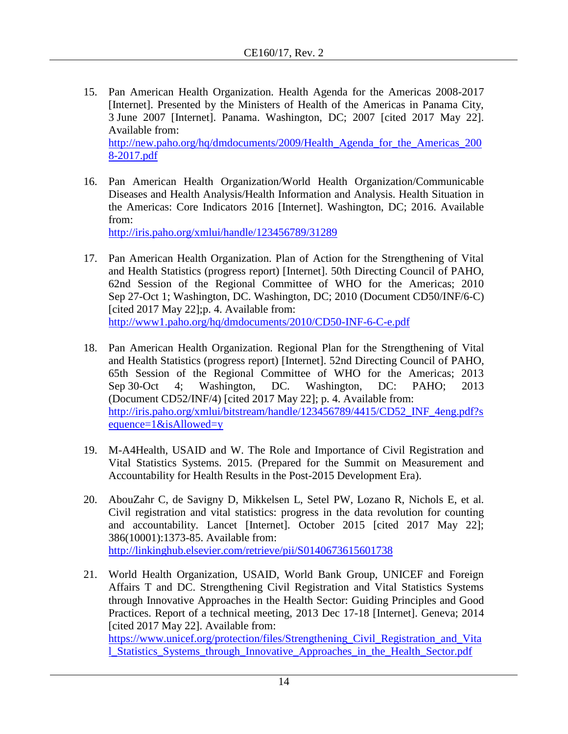- 15. Pan American Health Organization. Health Agenda for the Americas 2008-2017 [Internet]. Presented by the Ministers of Health of the Americas in Panama City, 3 June 2007 [Internet]. Panama. Washington, DC; 2007 [cited 2017 May 22]. Available from: [http://new.paho.org/hq/dmdocuments/2009/Health\\_Agenda\\_for\\_the\\_Americas\\_200](http://new.paho.org/hq/dmdocuments/2009/Health_Agenda_for_the_Americas_2008-2017.pdf) [8-2017.pdf](http://new.paho.org/hq/dmdocuments/2009/Health_Agenda_for_the_Americas_2008-2017.pdf)
- 16. Pan American Health Organization/World Health Organization/Communicable Diseases and Health Analysis/Health Information and Analysis. Health Situation in the Americas: Core Indicators 2016 [Internet]. Washington, DC; 2016. Available from:

<http://iris.paho.org/xmlui/handle/123456789/31289>

- 17. Pan American Health Organization. Plan of Action for the Strengthening of Vital and Health Statistics (progress report) [Internet]. 50th Directing Council of PAHO, 62nd Session of the Regional Committee of WHO for the Americas; 2010 Sep 27-Oct 1; Washington, DC. Washington, DC; 2010 (Document CD50/INF/6-C) [cited 2017 May 22];p. 4. Available from: <http://www1.paho.org/hq/dmdocuments/2010/CD50-INF-6-C-e.pdf>
- 18. Pan American Health Organization. Regional Plan for the Strengthening of Vital and Health Statistics (progress report) [Internet]. 52nd Directing Council of PAHO, 65th Session of the Regional Committee of WHO for the Americas; 2013 Sep 30-Oct 4; Washington, DC. Washington, DC: PAHO; 2013 (Document CD52/INF/4) [cited 2017 May 22]; p. 4. Available from: [http://iris.paho.org/xmlui/bitstream/handle/123456789/4415/CD52\\_INF\\_4eng.pdf?s](http://iris.paho.org/xmlui/bitstream/handle/123456789/4415/CD52_INF_4eng.pdf?sequence=1&isAllowed=y) [equence=1&isAllowed=y](http://iris.paho.org/xmlui/bitstream/handle/123456789/4415/CD52_INF_4eng.pdf?sequence=1&isAllowed=y)
- 19. M-A4Health, USAID and W. The Role and Importance of Civil Registration and Vital Statistics Systems. 2015. (Prepared for the Summit on Measurement and Accountability for Health Results in the Post-2015 Development Era).
- 20. AbouZahr C, de Savigny D, Mikkelsen L, Setel PW, Lozano R, Nichols E, et al. Civil registration and vital statistics: progress in the data revolution for counting and accountability. Lancet [Internet]. October 2015 [cited 2017 May 22]; 386(10001):1373-85. Available from: <http://linkinghub.elsevier.com/retrieve/pii/S0140673615601738>
- 21. World Health Organization, USAID, World Bank Group, UNICEF and Foreign Affairs T and DC. Strengthening Civil Registration and Vital Statistics Systems through Innovative Approaches in the Health Sector: Guiding Principles and Good Practices. Report of a technical meeting, 2013 Dec 17-18 [Internet]. Geneva; 2014 [cited 2017 May 22]. Available from: https://www.unicef.org/protection/files/Strengthening Civil Registration and Vita [l\\_Statistics\\_Systems\\_through\\_Innovative\\_Approaches\\_in\\_the\\_Health\\_Sector.pdf](https://www.unicef.org/protection/files/Strengthening_Civil_Registration_and_Vital_Statistics_Systems_through_Innovative_Approaches_in_the_Health_Sector.pdf)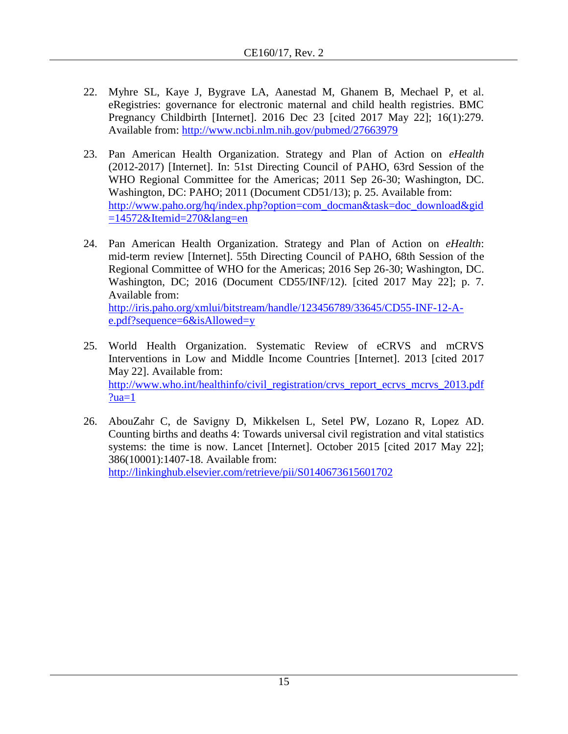- 22. Myhre SL, Kaye J, Bygrave LA, Aanestad M, Ghanem B, Mechael P, et al. eRegistries: governance for electronic maternal and child health registries. BMC Pregnancy Childbirth [Internet]. 2016 Dec 23 [cited 2017 May 22]; 16(1):279. Available from:<http://www.ncbi.nlm.nih.gov/pubmed/27663979>
- 23. Pan American Health Organization. Strategy and Plan of Action on *eHealth* (2012-2017) [Internet]. In: 51st Directing Council of PAHO, 63rd Session of the WHO Regional Committee for the Americas; 2011 Sep 26-30; Washington, DC. Washington, DC: PAHO; 2011 (Document CD51/13); p. 25. Available from: [http://www.paho.org/hq/index.php?option=com\\_docman&task=doc\\_download&gid](http://www.paho.org/hq/index.php?option=com_docman&task=doc_download&gid=14572&Itemid=270&lang=en)  $=14572\&$ Itemid=270 $\&$ lang=en
- 24. Pan American Health Organization. Strategy and Plan of Action on *eHealth*: mid-term review [Internet]. 55th Directing Council of PAHO, 68th Session of the Regional Committee of WHO for the Americas; 2016 Sep 26-30; Washington, DC. Washington, DC; 2016 (Document CD55/INF/12). [cited 2017 May 22]; p. 7. Available from: [http://iris.paho.org/xmlui/bitstream/handle/123456789/33645/CD55-INF-12-A](http://iris.paho.org/xmlui/bitstream/handle/123456789/33645/CD55-INF-12-A-e.pdf?sequence=6&isAllowed=y)[e.pdf?sequence=6&isAllowed=y](http://iris.paho.org/xmlui/bitstream/handle/123456789/33645/CD55-INF-12-A-e.pdf?sequence=6&isAllowed=y)
- 25. World Health Organization. Systematic Review of eCRVS and mCRVS Interventions in Low and Middle Income Countries [Internet]. 2013 [cited 2017 May 22]. Available from: [http://www.who.int/healthinfo/civil\\_registration/crvs\\_report\\_ecrvs\\_mcrvs\\_2013.pdf](http://www.who.int/healthinfo/civil_registration/crvs_report_ecrvs_mcrvs_2013.pdf?ua=1)  $?ua=1$
- 26. AbouZahr C, de Savigny D, Mikkelsen L, Setel PW, Lozano R, Lopez AD. Counting births and deaths 4: Towards universal civil registration and vital statistics systems: the time is now. Lancet [Internet]. October 2015 [cited 2017 May 22]; 386(10001):1407-18. Available from: <http://linkinghub.elsevier.com/retrieve/pii/S0140673615601702>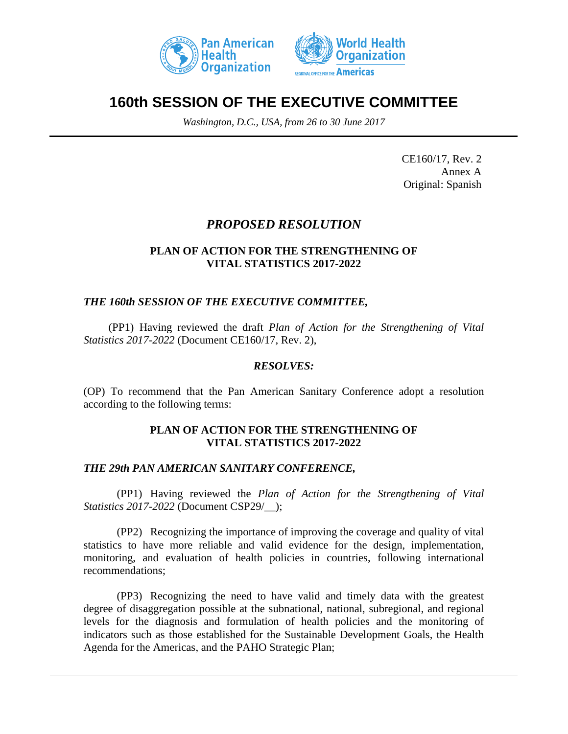



# **160th SESSION OF THE EXECUTIVE COMMITTEE**

*Washington, D.C., USA, from 26 to 30 June 2017*

CE160/17, Rev. 2 Annex A Original: Spanish

# *PROPOSED RESOLUTION*

#### **PLAN OF ACTION FOR THE STRENGTHENING OF VITAL STATISTICS 2017-2022**

# *THE 160th SESSION OF THE EXECUTIVE COMMITTEE,*

(PP1) Having reviewed the draft *Plan of Action for the Strengthening of Vital Statistics 2017-2022* (Document CE160/17, Rev. 2),

#### *RESOLVES:*

(OP) To recommend that the Pan American Sanitary Conference adopt a resolution according to the following terms:

#### **PLAN OF ACTION FOR THE STRENGTHENING OF VITAL STATISTICS 2017-2022**

#### *THE 29th PAN AMERICAN SANITARY CONFERENCE,*

(PP1) Having reviewed the *Plan of Action for the Strengthening of Vital Statistics 2017-2022* (Document CSP29/\_\_);

(PP2) Recognizing the importance of improving the coverage and quality of vital statistics to have more reliable and valid evidence for the design, implementation, monitoring, and evaluation of health policies in countries, following international recommendations;

(PP3) Recognizing the need to have valid and timely data with the greatest degree of disaggregation possible at the subnational, national, subregional, and regional levels for the diagnosis and formulation of health policies and the monitoring of indicators such as those established for the Sustainable Development Goals, the Health Agenda for the Americas, and the PAHO Strategic Plan;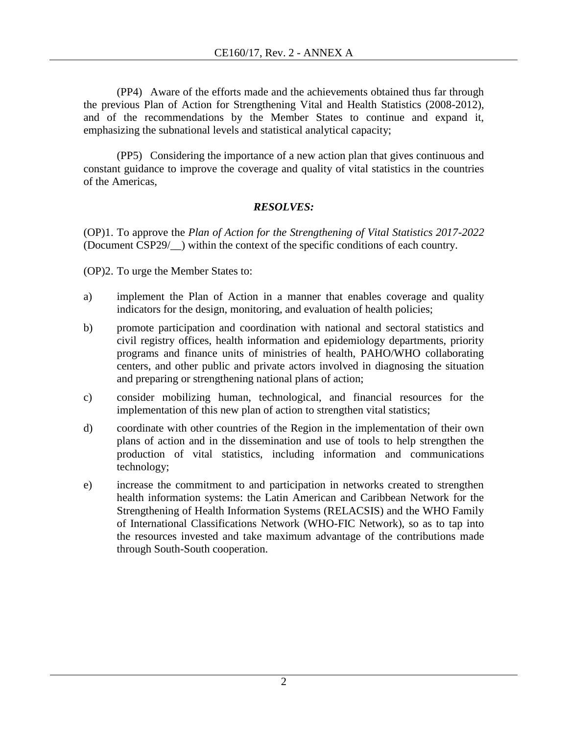(PP4) Aware of the efforts made and the achievements obtained thus far through the previous Plan of Action for Strengthening Vital and Health Statistics (2008-2012), and of the recommendations by the Member States to continue and expand it, emphasizing the subnational levels and statistical analytical capacity;

(PP5) Considering the importance of a new action plan that gives continuous and constant guidance to improve the coverage and quality of vital statistics in the countries of the Americas,

# *RESOLVES:*

(OP)1. To approve the *Plan of Action for the Strengthening of Vital Statistics 2017-2022* (Document CSP29/\_\_) within the context of the specific conditions of each country.

(OP)2. To urge the Member States to:

- a) implement the Plan of Action in a manner that enables coverage and quality indicators for the design, monitoring, and evaluation of health policies;
- b) promote participation and coordination with national and sectoral statistics and civil registry offices, health information and epidemiology departments, priority programs and finance units of ministries of health, PAHO/WHO collaborating centers, and other public and private actors involved in diagnosing the situation and preparing or strengthening national plans of action;
- c) consider mobilizing human, technological, and financial resources for the implementation of this new plan of action to strengthen vital statistics;
- d) coordinate with other countries of the Region in the implementation of their own plans of action and in the dissemination and use of tools to help strengthen the production of vital statistics, including information and communications technology;
- e) increase the commitment to and participation in networks created to strengthen health information systems: the Latin American and Caribbean Network for the Strengthening of Health Information Systems (RELACSIS) and the WHO Family of International Classifications Network (WHO-FIC Network), so as to tap into the resources invested and take maximum advantage of the contributions made through South-South cooperation.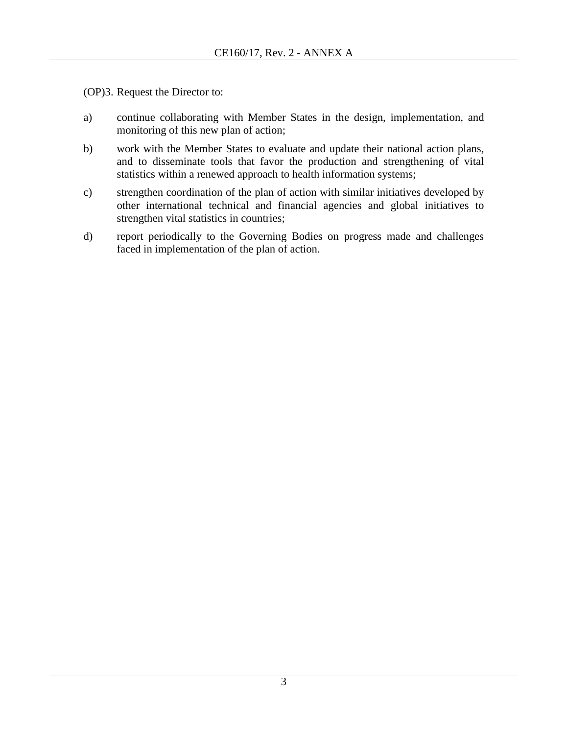(OP)3. Request the Director to:

- a) continue collaborating with Member States in the design, implementation, and monitoring of this new plan of action;
- b) work with the Member States to evaluate and update their national action plans, and to disseminate tools that favor the production and strengthening of vital statistics within a renewed approach to health information systems;
- c) strengthen coordination of the plan of action with similar initiatives developed by other international technical and financial agencies and global initiatives to strengthen vital statistics in countries;
- d) report periodically to the Governing Bodies on progress made and challenges faced in implementation of the plan of action.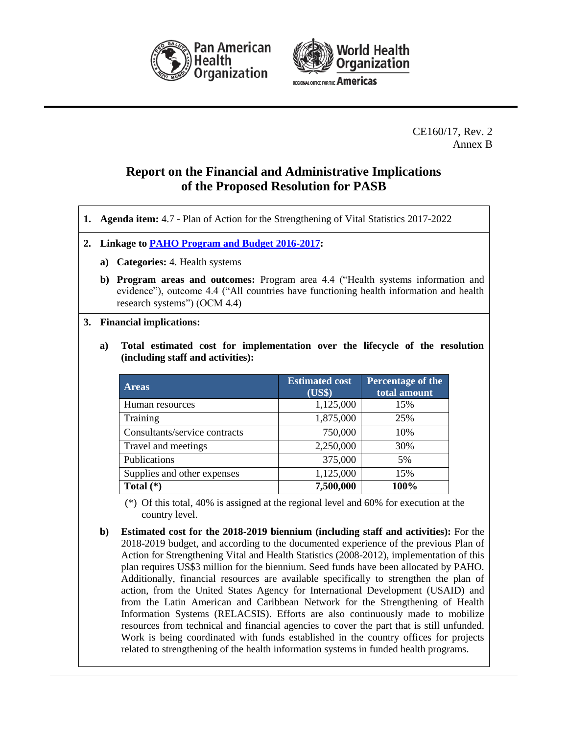



CE160/17, Rev. 2 Annex B

# **Report on the Financial and Administrative Implications of the Proposed Resolution for PASB**

- **1. Agenda item:** 4.7 **-** Plan of Action for the Strengthening of Vital Statistics 2017-2022
- **2. Linkage to [PAHO Program and Budget 2016-2017:](http://www.paho.org/hq/index.php?option=com_docman&task=doc_download&gid=31676&Itemid=270&lang=en)**
	- **a) Categories:** 4. Health systems
	- **b) Program areas and outcomes:** Program area 4.4 ("Health systems information and evidence"), outcome 4.4 ("All countries have functioning health information and health research systems") (OCM 4.4)
- **3. Financial implications:**
	- **a) Total estimated cost for implementation over the lifecycle of the resolution (including staff and activities):**

| <b>Areas</b>                  | <b>Estimated cost</b><br>(US\$) | Percentage of the<br>total amount |
|-------------------------------|---------------------------------|-----------------------------------|
| Human resources               | 1,125,000                       | 15%                               |
| Training                      | 1,875,000                       | 25%                               |
| Consultants/service contracts | 750,000                         | 10%                               |
| Travel and meetings           | 2,250,000                       | 30%                               |
| Publications                  | 375,000                         | 5%                                |
| Supplies and other expenses   | 1,125,000                       | 15%                               |
| Total $(*)$                   | 7,500,000                       | 100%                              |

(\*) Of this total, 40% is assigned at the regional level and 60% for execution at the country level.

**b) Estimated cost for the 2018-2019 biennium (including staff and activities):** For the 2018-2019 budget, and according to the documented experience of the previous Plan of Action for Strengthening Vital and Health Statistics (2008-2012), implementation of this plan requires US\$3 million for the biennium. Seed funds have been allocated by PAHO. Additionally, financial resources are available specifically to strengthen the plan of action, from the United States Agency for International Development (USAID) and from the Latin American and Caribbean Network for the Strengthening of Health Information Systems (RELACSIS). Efforts are also continuously made to mobilize resources from technical and financial agencies to cover the part that is still unfunded. Work is being coordinated with funds established in the country offices for projects related to strengthening of the health information systems in funded health programs.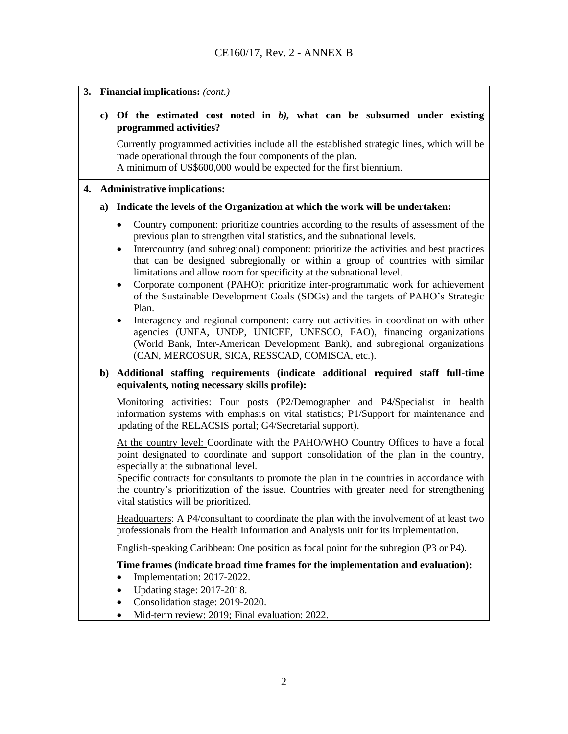**3. Financial implications:** *(cont.)*

#### **c) Of the estimated cost noted in** *b),* **what can be subsumed under existing programmed activities?**

Currently programmed activities include all the established strategic lines, which will be made operational through the four components of the plan.

A minimum of US\$600,000 would be expected for the first biennium.

#### **4. Administrative implications:**

#### **a) Indicate the levels of the Organization at which the work will be undertaken:**

- Country component: prioritize countries according to the results of assessment of the previous plan to strengthen vital statistics, and the subnational levels.
- Intercountry (and subregional) component: prioritize the activities and best practices that can be designed subregionally or within a group of countries with similar limitations and allow room for specificity at the subnational level.
- Corporate component (PAHO): prioritize inter-programmatic work for achievement of the Sustainable Development Goals (SDGs) and the targets of PAHO's Strategic Plan.
- Interagency and regional component: carry out activities in coordination with other agencies (UNFA, UNDP, UNICEF, UNESCO, FAO), financing organizations (World Bank, Inter-American Development Bank), and subregional organizations (CAN, MERCOSUR, SICA, RESSCAD, COMISCA, etc.).

#### **b) Additional staffing requirements (indicate additional required staff full-time equivalents, noting necessary skills profile):**

Monitoring activities: Four posts (P2/Demographer and P4/Specialist in health information systems with emphasis on vital statistics; P1/Support for maintenance and updating of the RELACSIS portal; G4/Secretarial support).

At the country level: Coordinate with the PAHO/WHO Country Offices to have a focal point designated to coordinate and support consolidation of the plan in the country, especially at the subnational level.

Specific contracts for consultants to promote the plan in the countries in accordance with the country's prioritization of the issue. Countries with greater need for strengthening vital statistics will be prioritized.

Headquarters: A P4/consultant to coordinate the plan with the involvement of at least two professionals from the Health Information and Analysis unit for its implementation.

English-speaking Caribbean: One position as focal point for the subregion (P3 or P4).

#### **Time frames (indicate broad time frames for the implementation and evaluation):**

- Implementation: 2017-2022.
- Updating stage: 2017-2018.
- Consolidation stage: 2019-2020.
- Mid-term review: 2019: Final evaluation: 2022.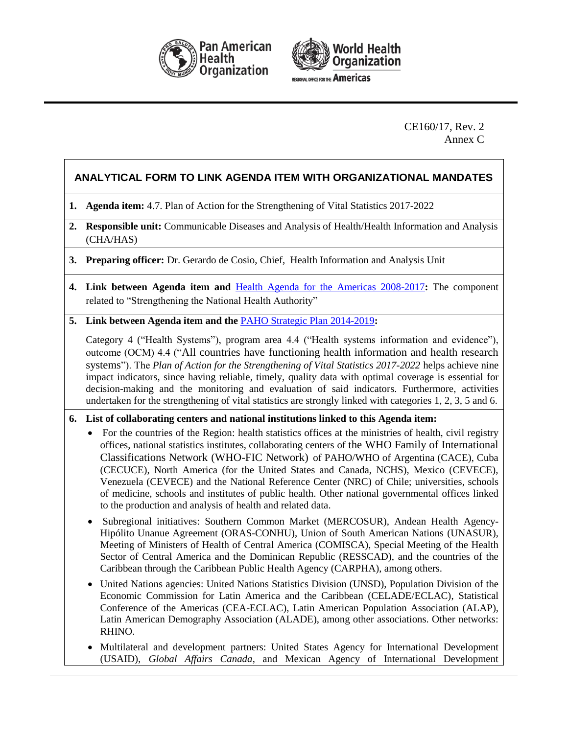



CE160/17, Rev. 2 Annex C

# **ANALYTICAL FORM TO LINK AGENDA ITEM WITH ORGANIZATIONAL MANDATES**

- **1. Agenda item:** 4.7. Plan of Action for the Strengthening of Vital Statistics 2017-2022
- **2. Responsible unit:** Communicable Diseases and Analysis of Health/Health Information and Analysis (CHA/HAS)
- **3. Preparing officer:** Dr. Gerardo de Cosio, Chief, Health Information and Analysis Unit
- **4. Link between Agenda item and** [Health Agenda for the Americas 2008-2017](http://www.paho.org/hq/index.php?option=com_docman&task=doc_download&gid=3546&Itemid=)**:** The component related to "Strengthening the National Health Authority"
- **5. Link between Agenda item and the** [PAHO Strategic Plan 2014-2019](http://www.paho.org/hq/index.php?option=com_docman&task=doc_download&gid=27015&Itemid=270&lang=en)**:**

Category 4 ("Health Systems"), program area 4.4 ("Health systems information and evidence"), outcome (OCM) 4.4 ("All countries have functioning health information and health research systems"). The *Plan of Action for the Strengthening of Vital Statistics 2017-2022* helps achieve nine impact indicators, since having reliable, timely, quality data with optimal coverage is essential for decision-making and the monitoring and evaluation of said indicators. Furthermore, activities undertaken for the strengthening of vital statistics are strongly linked with categories 1, 2, 3, 5 and 6.

#### **6. List of collaborating centers and national institutions linked to this Agenda item:**

- For the countries of the Region: health statistics offices at the ministries of health, civil registry offices, national statistics institutes, collaborating centers of the WHO Family of International Classifications Network (WHO-FIC Network) of PAHO/WHO of Argentina (CACE), Cuba (CECUCE), North America (for the United States and Canada, NCHS), Mexico (CEVECE), Venezuela (CEVECE) and the National Reference Center (NRC) of Chile; universities, schools of medicine, schools and institutes of public health. Other national governmental offices linked to the production and analysis of health and related data.
- Subregional initiatives: Southern Common Market (MERCOSUR), Andean Health Agency-Hipólito Unanue Agreement (ORAS-CONHU), Union of South American Nations (UNASUR), Meeting of Ministers of Health of Central America (COMISCA), Special Meeting of the Health Sector of Central America and the Dominican Republic (RESSCAD), and the countries of the Caribbean through the Caribbean Public Health Agency (CARPHA), among others.
- United Nations agencies: United Nations Statistics Division (UNSD), Population Division of the Economic Commission for Latin America and the Caribbean (CELADE/ECLAC), Statistical Conference of the Americas (CEA-ECLAC), Latin American Population Association (ALAP), Latin American Demography Association (ALADE), among other associations. Other networks: RHINO.
- Multilateral and development partners: United States Agency for International Development (USAID), *Global Affairs Canada*, and Mexican Agency of International Development